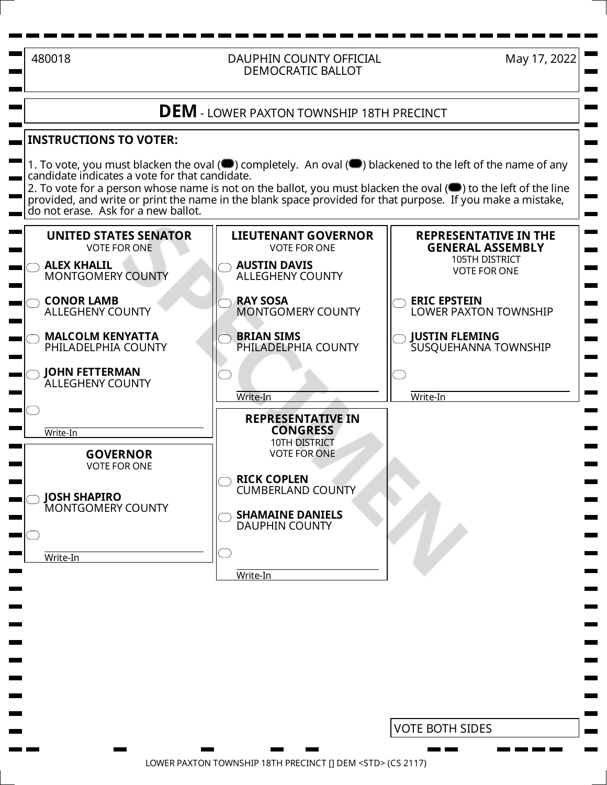## 480018 DAUPHIN COUNTY OFFICIAL DEMOCRATIC BALLOT

May 17, 2022

## **DEM** - LOWER PAXTON TOWNSHIP 18TH PRECINCT

## **INSTRUCTIONS TO VOTER:**

1. To vote, you must blacken the oval (<sup>1</sup>) completely. An oval (<sup>2</sup>) blackened to the left of the name of any candidate indicates a vote for that candidate.

2. To vote for a person whose name is not on the ballot, you must blacken the oval  $($ **)** to the left of the line provided, and write or print the name in the blank space provided for that purpose. If you make a mistake, do not erase. Ask for a new ballot.



VOTE BOTH SIDES